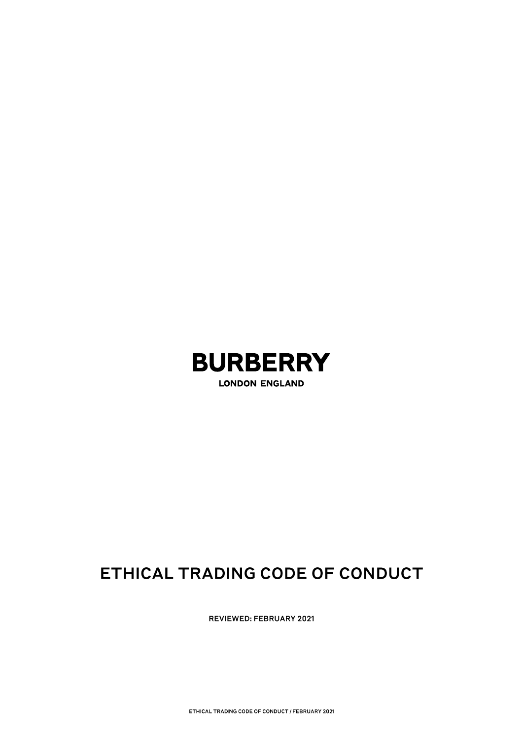

**LONDON ENGLAND** 

# ETHICAL TRADING CODE OF CONDUCT

**REVIEWED: FEBRUARY 2021**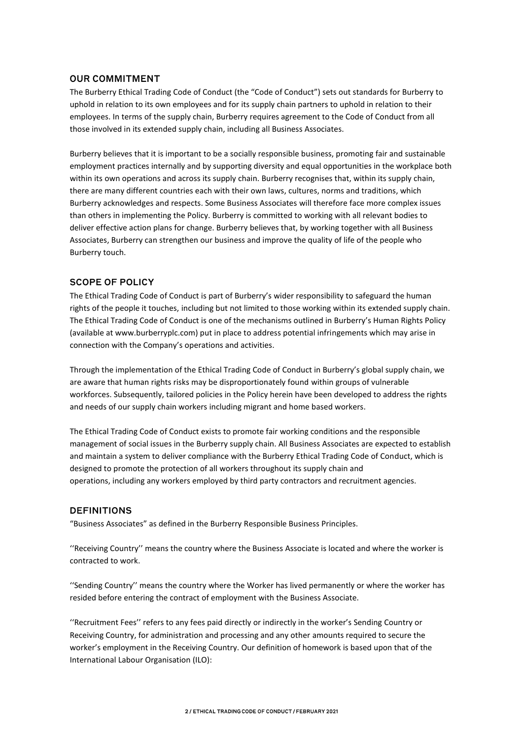## **OUR COMMITMENT**

The Burberry Ethical Trading Code of Conduct (the "Code of Conduct") sets out standards for Burberry to uphold in relation to its own employees and for its supply chain partners to uphold in relation to their employees. In terms of the supply chain, Burberry requires agreement to the Code of Conduct from all those involved in its extended supply chain, including all Business Associates.

Burberry believes that it is important to be a socially responsible business, promoting fair and sustainable employment practices internally and by supporting diversity and equal opportunities in the workplace both within its own operations and across its supply chain. Burberry recognises that, within its supply chain, there are many different countries each with their own laws, cultures, norms and traditions, which Burberry acknowledges and respects. Some Business Associates will therefore face more complex issues than others in implementing the Policy. Burberry is committed to working with all relevant bodies to deliver effective action plans for change. Burberry believes that, by working together with all Business Associates, Burberry can strengthen our business and improve the quality of life of the people who Burberry touch.

## **SCOPE OF POLICY**

The Ethical Trading Code of Conduct is part of Burberry's wider responsibility to safeguard the human rights of the people it touches, including but not limited to those working within its extended supply chain. The Ethical Trading Code of Conduct is one of the mechanisms outlined in Burberry's Human Rights Policy (available at www.burberryplc.com) put in place to address potential infringements which may arise in connection with the Company's operations and activities.

Through the implementation of the Ethical Trading Code of Conduct in Burberry's global supply chain, we are aware that human rights risks may be disproportionately found within groups of vulnerable workforces. Subsequently, tailored policies in the Policy herein have been developed to address the rights and needs of our supply chain workers including migrant and home based workers.

The Ethical Trading Code of Conduct exists to promote fair working conditions and the responsible management of social issues in the Burberry supply chain. All Business Associates are expected to establish and maintain a system to deliver compliance with the Burberry Ethical Trading Code of Conduct, which is designed to promote the protection of all workers throughout its supply chain and operations, including any workers employed by third party contractors and recruitment agencies.

## **DEFINITIONS**

"Business Associates" as defined in the Burberry Responsible Business Principles.

''Receiving Country'' means the country where the Business Associate is located and where the worker is contracted to work.

''Sending Country'' means the country where the Worker has lived permanently or where the worker has resided before entering the contract of employment with the Business Associate.

''Recruitment Fees'' refers to any fees paid directly or indirectly in the worker's Sending Country or Receiving Country, for administration and processing and any other amounts required to secure the worker's employment in the Receiving Country. Our definition of homework is based upon that of the International Labour Organisation (ILO):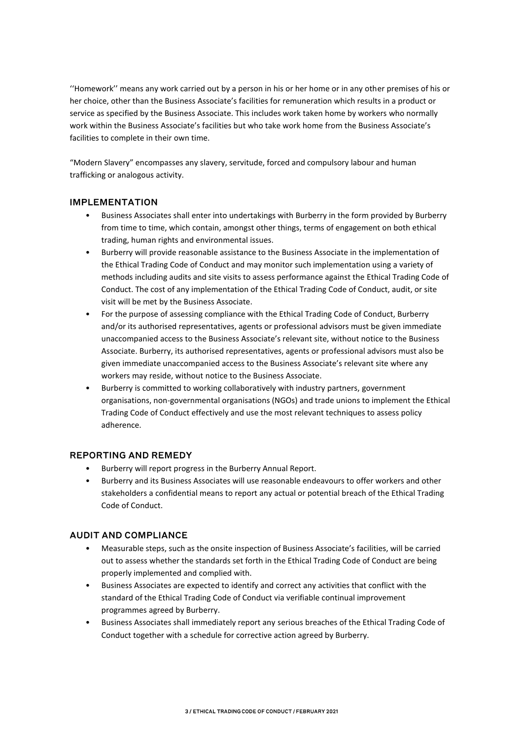''Homework'' means any work carried out by a person in his or her home or in any other premises of his or her choice, other than the Business Associate's facilities for remuneration which results in a product or service as specified by the Business Associate. This includes work taken home by workers who normally work within the Business Associate's facilities but who take work home from the Business Associate's facilities to complete in their own time.

"Modern Slavery" encompasses any slavery, servitude, forced and compulsory labour and human trafficking or analogous activity.

## **IMPLEMENTATION**

- Business Associates shall enter into undertakings with Burberry in the form provided by Burberry from time to time, which contain, amongst other things, terms of engagement on both ethical trading, human rights and environmental issues.
- Burberry will provide reasonable assistance to the Business Associate in the implementation of the Ethical Trading Code of Conduct and may monitor such implementation using a variety of methods including audits and site visits to assess performance against the Ethical Trading Code of Conduct. The cost of any implementation of the Ethical Trading Code of Conduct, audit, or site visit will be met by the Business Associate.
- For the purpose of assessing compliance with the Ethical Trading Code of Conduct, Burberry and/or its authorised representatives, agents or professional advisors must be given immediate unaccompanied access to the Business Associate's relevant site, without notice to the Business Associate. Burberry, its authorised representatives, agents or professional advisors must also be given immediate unaccompanied access to the Business Associate's relevant site where any workers may reside, without notice to the Business Associate.
- Burberry is committed to working collaboratively with industry partners, government organisations, non-governmental organisations (NGOs) and trade unions to implement the Ethical Trading Code of Conduct effectively and use the most relevant techniques to assess policy adherence.

# **REPORTING AND REMEDY**

- Burberry will report progress in the Burberry Annual Report.
- Burberry and its Business Associates will use reasonable endeavours to offer workers and other stakeholders a confidential means to report any actual or potential breach of the Ethical Trading Code of Conduct.

# **AUDIT AND COMPLIANCE**

- Measurable steps, such as the onsite inspection of Business Associate's facilities, will be carried out to assess whether the standards set forth in the Ethical Trading Code of Conduct are being properly implemented and complied with.
- Business Associates are expected to identify and correct any activities that conflict with the standard of the Ethical Trading Code of Conduct via verifiable continual improvement programmes agreed by Burberry.
- Business Associates shall immediately report any serious breaches of the Ethical Trading Code of Conduct together with a schedule for corrective action agreed by Burberry.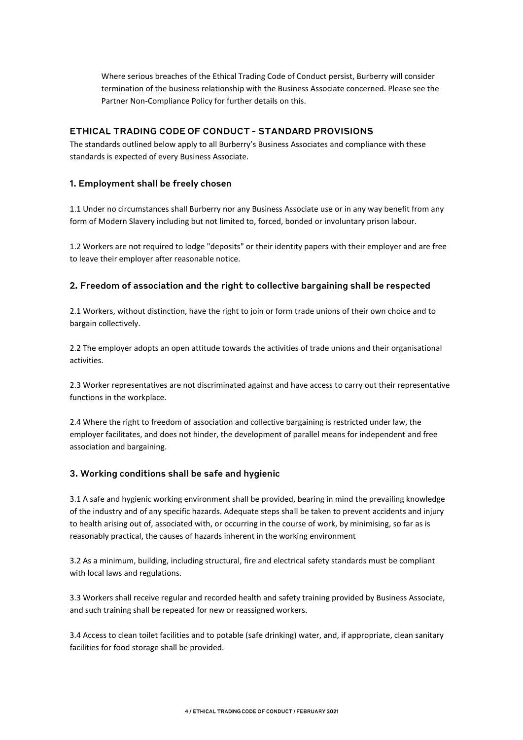Where serious breaches of the Ethical Trading Code of Conduct persist, Burberry will consider termination of the business relationship with the Business Associate concerned. Please see the Partner Non-Compliance Policy for further details on this.

## ETHICAL TRADING CODE OF CONDUCT - STANDARD PROVISIONS

The standards outlined below apply to all Burberry's Business Associates and compliance with these standards is expected of every Business Associate.

#### 1. Employment shall be freely chosen

1.1 Under no circumstances shall Burberry nor any Business Associate use or in any way benefit from any form of Modern Slavery including but not limited to, forced, bonded or involuntary prison labour.

1.2 Workers are not required to lodge "deposits" or their identity papers with their employer and are free to leave their employer after reasonable notice.

#### 2. Freedom of association and the right to collective bargaining shall be respected

2.1 Workers, without distinction, have the right to join or form trade unions of their own choice and to bargain collectively.

2.2 The employer adopts an open attitude towards the activities of trade unions and their organisational activities.

2.3 Worker representatives are not discriminated against and have access to carry out their representative functions in the workplace.

2.4 Where the right to freedom of association and collective bargaining is restricted under law, the employer facilitates, and does not hinder, the development of parallel means for independent and free association and bargaining.

## 3. Working conditions shall be safe and hygienic

3.1 A safe and hygienic working environment shall be provided, bearing in mind the prevailing knowledge of the industry and of any specific hazards. Adequate steps shall be taken to prevent accidents and injury to health arising out of, associated with, or occurring in the course of work, by minimising, so far as is reasonably practical, the causes of hazards inherent in the working environment

3.2 As a minimum, building, including structural, fire and electrical safety standards must be compliant with local laws and regulations.

3.3 Workers shall receive regular and recorded health and safety training provided by Business Associate, and such training shall be repeated for new or reassigned workers.

3.4 Access to clean toilet facilities and to potable (safe drinking) water, and, if appropriate, clean sanitary facilities for food storage shall be provided.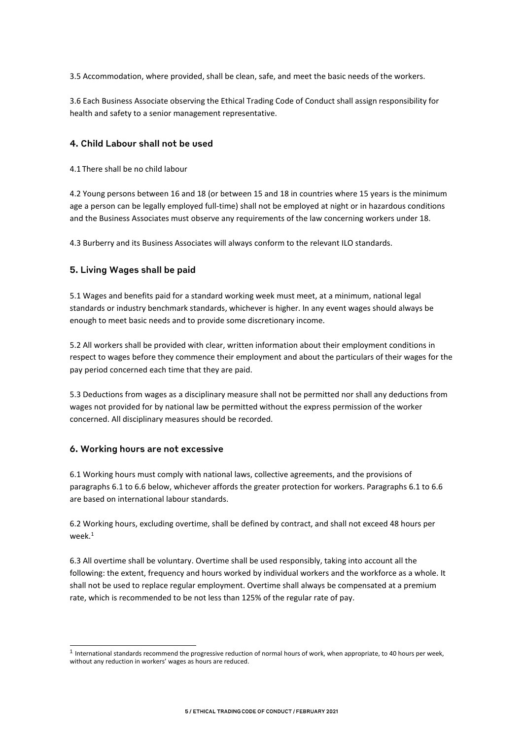3.5 Accommodation, where provided, shall be clean, safe, and meet the basic needs of the workers.

3.6 Each Business Associate observing the Ethical Trading Code of Conduct shall assign responsibility for health and safety to a senior management representative.

#### 4. Child Labour shall not be used

4.1 There shall be no child labour

4.2 Young persons between 16 and 18 (or between 15 and 18 in countries where 15 years is the minimum age a person can be legally employed full-time) shall not be employed at night or in hazardous conditions and the Business Associates must observe any requirements of the law concerning workers under 18.

4.3 Burberry and its Business Associates will always conform to the relevant ILO standards.

#### 5. Living Wages shall be paid

5.1 Wages and benefits paid for a standard working week must meet, at a minimum, national legal standards or industry benchmark standards, whichever is higher. In any event wages should always be enough to meet basic needs and to provide some discretionary income.

5.2 All workers shall be provided with clear, written information about their employment conditions in respect to wages before they commence their employment and about the particulars of their wages for the pay period concerned each time that they are paid.

5.3 Deductions from wages as a disciplinary measure shall not be permitted nor shall any deductions from wages not provided for by national law be permitted without the express permission of the worker concerned. All disciplinary measures should be recorded.

#### 6. Working hours are not excessive

6.1 Working hours must comply with national laws, collective agreements, and the provisions of paragraphs 6.1 to 6.6 below, whichever affords the greater protection for workers. Paragraphs 6.1 to 6.6 are based on international labour standards.

6.2 Working hours, excluding overtime, shall be defined by contract, and shall not exceed 48 hours per week $1$ 

6.3 All overtime shall be voluntary. Overtime shall be used responsibly, taking into account all the following: the extent, frequency and hours worked by individual workers and the workforce as a whole. It shall not be used to replace regular employment. Overtime shall always be compensated at a premium rate, which is recommended to be not less than 125% of the regular rate of pay.

<sup>&</sup>lt;sup>1</sup> International standards recommend the progressive reduction of normal hours of work, when appropriate, to 40 hours per week, without any reduction in workers' wages as hours are reduced.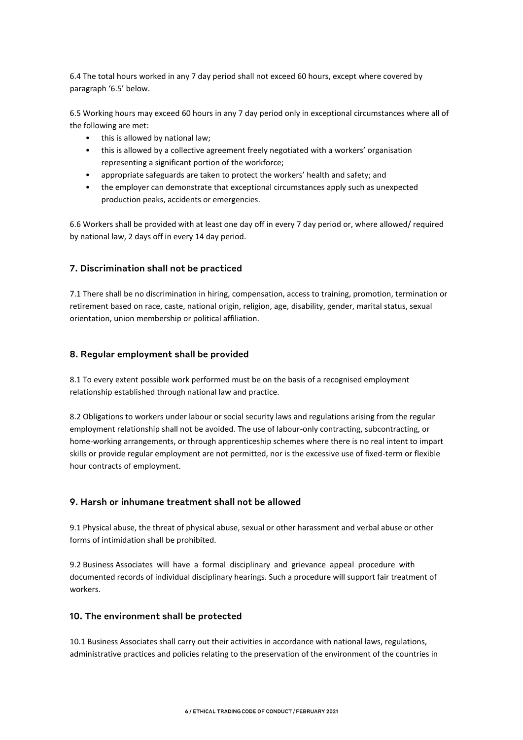6.4 The total hours worked in any 7 day period shall not exceed 60 hours, except where covered by paragraph '6.5' below.

6.5 Working hours may exceed 60 hours in any 7 day period only in exceptional circumstances where all of the following are met:

- this is allowed by national law;
- this is allowed by a collective agreement freely negotiated with a workers' organisation representing a significant portion of the workforce;
- appropriate safeguards are taken to protect the workers' health and safety; and
- the employer can demonstrate that exceptional circumstances apply such as unexpected production peaks, accidents or emergencies.

6.6 Workers shall be provided with at least one day off in every 7 day period or, where allowed/ required by national law, 2 days off in every 14 day period.

## 7. Discrimination shall not be practiced

7.1 There shall be no discrimination in hiring, compensation, access to training, promotion, termination or retirement based on race, caste, national origin, religion, age, disability, gender, marital status, sexual orientation, union membership or political affiliation.

## 8. Regular employment shall be provided

8.1 To every extent possible work performed must be on the basis of a recognised employment relationship established through national law and practice.

8.2 Obligations to workers under labour or social security laws and regulations arising from the regular employment relationship shall not be avoided. The use of labour-only contracting, subcontracting, or home-working arrangements, or through apprenticeship schemes where there is no real intent to impart skills or provide regular employment are not permitted, nor is the excessive use of fixed-term or flexible hour contracts of employment.

## 9. Harsh or inhumane treatment shall not be allowed

9.1 Physical abuse, the threat of physical abuse, sexual or other harassment and verbal abuse or other forms of intimidation shall be prohibited.

9.2 Business Associates will have a formal disciplinary and grievance appeal procedure with documented records of individual disciplinary hearings. Such a procedure will support fair treatment of workers.

## 10. The environment shall be protected

10.1 Business Associates shall carry out their activities in accordance with national laws, regulations, administrative practices and policies relating to the preservation of the environment of the countries in